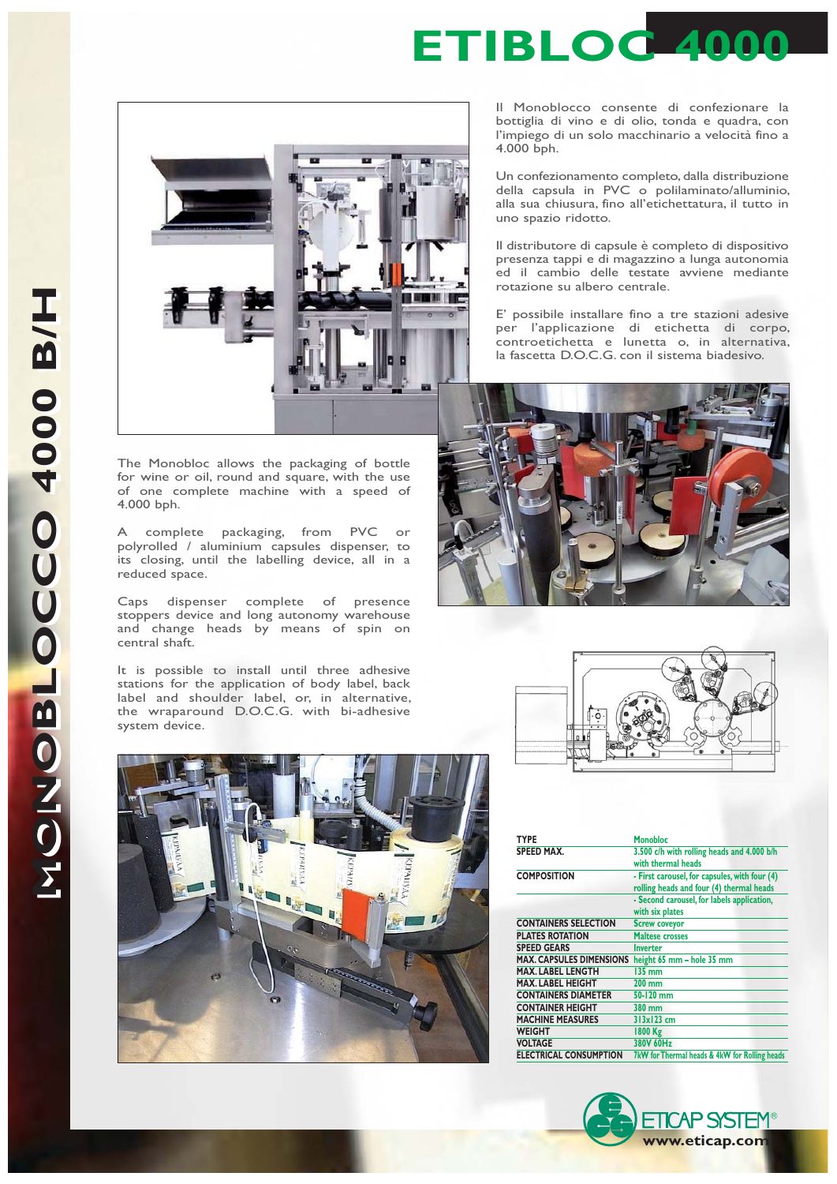

The Monobloc allows the packaging of bottle for wine or oil, round and square, with the use of one complete machine with a speed of 4.000 bph.

A complete packaging, from PVC or polyrolled / aluminium capsules dispenser, to its closing, until the labelling device, all in a reduced space.

Caps dispenser complete of presence stoppers device and long autonomy warehouse and change heads by means of spin on central shaft.

It is possible to install until three adhesive stations for the application of body label, back label and shoulder label, or, in alternative, the wraparound D.O.C.G. with bi-adhesive system device.

Il Monoblocco consente di confezionare la bottiglia di vino e di olio, tonda e quadra, con l'impiego di un solo macchinario a velocità fino a 4.000 bph.

Un confezionamento completo, dalla distribuzione della capsula in PVC o polilaminato/alluminio, alla sua chiusura, fino all'etichettatura, il tutto in uno spazio ridotto.

Il distributore di capsule è completo di dispositivo presenza tappi e di magazzino a lunga autonomia ed il cambio delle testate avviene mediante rotazione su albero centrale.

E' possibile installare fino a tre stazioni adesive per l'applicazione di etichetta di corpo, controetichetta e lunetta o, in alternativa, la fascetta D.O.C.G. con il sistema biadesivo.







| TYPE                            | <b>Monobloc</b>                                                                                                                         |  |
|---------------------------------|-----------------------------------------------------------------------------------------------------------------------------------------|--|
| <b>SPEED MAX.</b>               | 3.500 c/h with rolling heads and 4.000 b/h<br>with thermal heads                                                                        |  |
|                                 |                                                                                                                                         |  |
| <b>COMPOSITION</b>              | - First carousel, for capsules, with four (4)<br>rolling heads and four (4) thermal heads<br>- Second carousel, for labels application, |  |
|                                 |                                                                                                                                         |  |
|                                 |                                                                                                                                         |  |
|                                 | with six plates                                                                                                                         |  |
| <b>CONTAINERS SELECTION</b>     | <b>Screw coveyor</b>                                                                                                                    |  |
| <b>PLATES ROTATION</b>          | <b>Maltese crosses</b>                                                                                                                  |  |
| <b>SPEED GEARS</b>              | <b>Inverter</b>                                                                                                                         |  |
| <b>MAX. CAPSULES DIMENSIONS</b> | height 65 mm - hole 35 mm                                                                                                               |  |
| MAX. LABEL LENGTH               | 135 mm                                                                                                                                  |  |
| <b>MAX. LABEL HEIGHT</b>        | $200 \text{ mm}$                                                                                                                        |  |
| <b>CONTAINERS DIAMETER</b>      | 50-120 mm                                                                                                                               |  |
| <b>CONTAINER HEIGHT</b>         | 380 mm                                                                                                                                  |  |
| <b>MACHINE MEASURES</b>         | 313x123cm                                                                                                                               |  |
| <b>WEIGHT</b>                   | 1800 Kg                                                                                                                                 |  |
| <b>VOLTAGE</b>                  | 380V 60Hz                                                                                                                               |  |
| <b>ELECTRICAL CONSUMPTION</b>   | 7kW for Thermal heads & 4kW for Rolling heads                                                                                           |  |